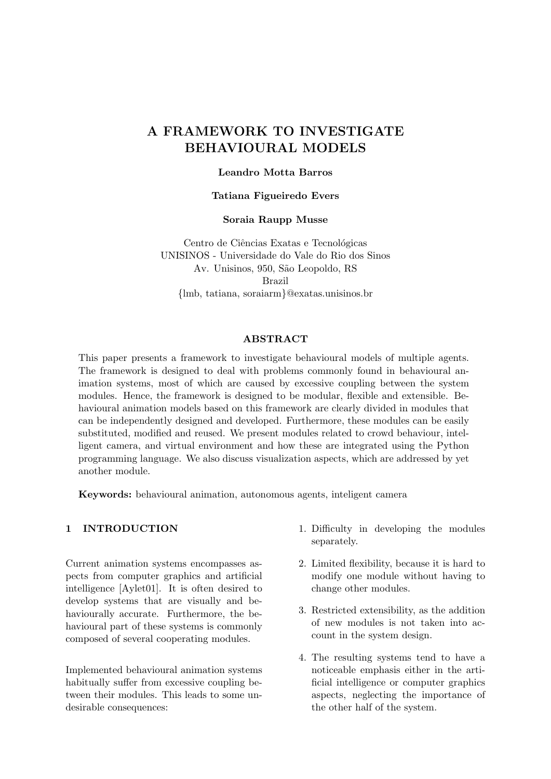# A FRAMEWORK TO INVESTIGATE BEHAVIOURAL MODELS

#### Leandro Motta Barros

#### Tatiana Figueiredo Evers

#### Soraia Raupp Musse

Centro de Ciências Exatas e Tecnológicas UNISINOS - Universidade do Vale do Rio dos Sinos Av. Unisinos, 950, São Leopoldo, RS Brazil {lmb, tatiana, soraiarm}@exatas.unisinos.br

#### ABSTRACT

This paper presents a framework to investigate behavioural models of multiple agents. The framework is designed to deal with problems commonly found in behavioural animation systems, most of which are caused by excessive coupling between the system modules. Hence, the framework is designed to be modular, flexible and extensible. Behavioural animation models based on this framework are clearly divided in modules that can be independently designed and developed. Furthermore, these modules can be easily substituted, modified and reused. We present modules related to crowd behaviour, intelligent camera, and virtual environment and how these are integrated using the Python programming language. We also discuss visualization aspects, which are addressed by yet another module.

Keywords: behavioural animation, autonomous agents, inteligent camera

#### 1 INTRODUCTION

Current animation systems encompasses aspects from computer graphics and artificial intelligence [Aylet01]. It is often desired to develop systems that are visually and behaviourally accurate. Furthermore, the behavioural part of these systems is commonly composed of several cooperating modules.

Implemented behavioural animation systems habitually suffer from excessive coupling between their modules. This leads to some undesirable consequences:

- 1. Difficulty in developing the modules separately.
- 2. Limited flexibility, because it is hard to modify one module without having to change other modules.
- 3. Restricted extensibility, as the addition of new modules is not taken into account in the system design.
- 4. The resulting systems tend to have a noticeable emphasis either in the artificial intelligence or computer graphics aspects, neglecting the importance of the other half of the system.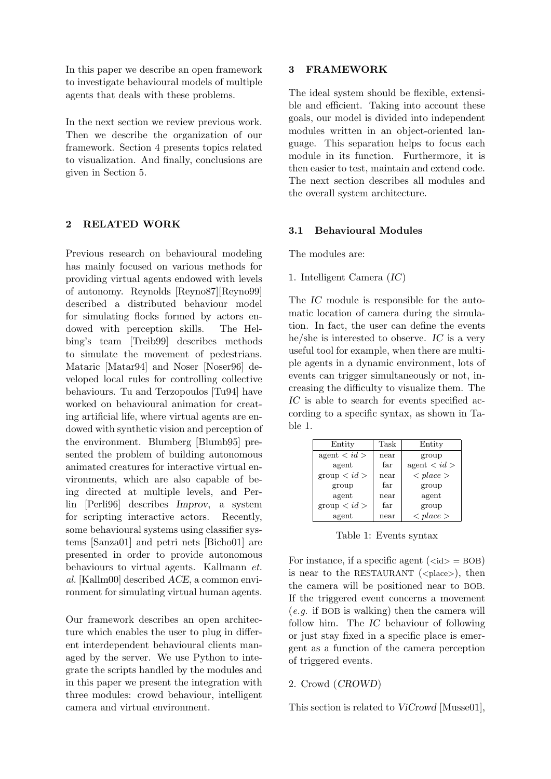In this paper we describe an open framework to investigate behavioural models of multiple agents that deals with these problems.

In the next section we review previous work. Then we describe the organization of our framework. Section 4 presents topics related to visualization. And finally, conclusions are given in Section 5.

# 2 RELATED WORK

Previous research on behavioural modeling has mainly focused on various methods for providing virtual agents endowed with levels of autonomy. Reynolds [Reyno87][Reyno99] described a distributed behaviour model for simulating flocks formed by actors endowed with perception skills. The Helbing's team [Treib99] describes methods to simulate the movement of pedestrians. Mataric [Matar94] and Noser [Noser96] developed local rules for controlling collective behaviours. Tu and Terzopoulos [Tu94] have worked on behavioural animation for creating artificial life, where virtual agents are endowed with synthetic vision and perception of the environment. Blumberg [Blumb95] presented the problem of building autonomous animated creatures for interactive virtual environments, which are also capable of being directed at multiple levels, and Perlin [Perli96] describes Improv, a system for scripting interactive actors. Recently, some behavioural systems using classifier systems [Sanza01] and petri nets [Bicho01] are presented in order to provide autonomous behaviours to virtual agents. Kallmann et. al. [Kallm00] described ACE, a common environment for simulating virtual human agents.

Our framework describes an open architecture which enables the user to plug in different interdependent behavioural clients managed by the server. We use Python to integrate the scripts handled by the modules and in this paper we present the integration with three modules: crowd behaviour, intelligent camera and virtual environment.

# 3 FRAMEWORK

The ideal system should be flexible, extensible and efficient. Taking into account these goals, our model is divided into independent modules written in an object-oriented language. This separation helps to focus each module in its function. Furthermore, it is then easier to test, maintain and extend code. The next section describes all modules and the overall system architecture.

# 3.1 Behavioural Modules

The modules are:

1. Intelligent Camera (IC)

The IC module is responsible for the automatic location of camera during the simulation. In fact, the user can define the events he/she is interested to observe. IC is a very useful tool for example, when there are multiple agents in a dynamic environment, lots of events can trigger simultaneously or not, increasing the difficulty to visualize them. The IC is able to search for events specified according to a specific syntax, as shown in Table 1.

| Entity              | Task | Entity                    |
|---------------------|------|---------------------------|
| $\alpha$ agent $d$  | near | group                     |
| agent               | far  | agent < id >              |
| $\text{group} < id$ | near | $\langle$ place $\rangle$ |
| group               | far  | group                     |
| agent               | near | agent                     |
| $\text{group} < id$ | far  | group                     |
| agent               | near | $\langle$ place $\rangle$ |

Table 1: Events syntax

For instance, if a specific agent  $(\langle id \rangle = BOB)$ is near to the RESTAURANT ( $\langle$ place $\rangle$ ), then the camera will be positioned near to BOB. If the triggered event concerns a movement (e.g. if BOB is walking) then the camera will follow him. The IC behaviour of following or just stay fixed in a specific place is emergent as a function of the camera perception of triggered events.

# 2. Crowd (CROWD)

This section is related to ViCrowd [Musse01],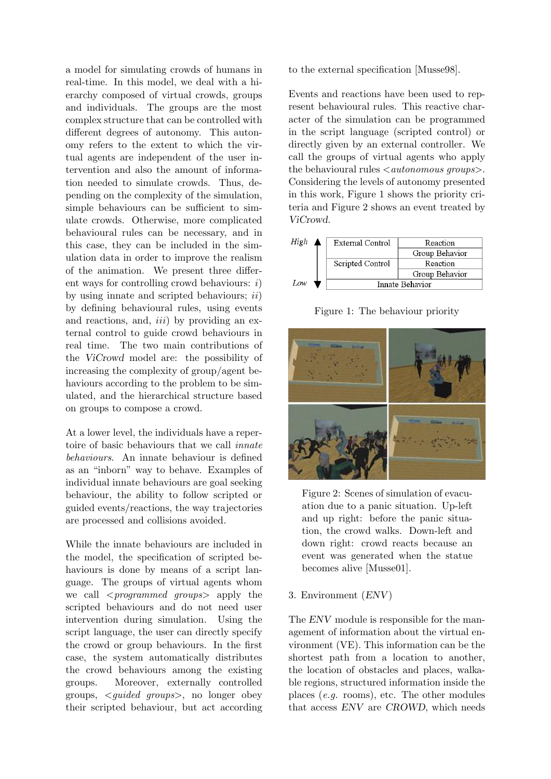a model for simulating crowds of humans in real-time. In this model, we deal with a hierarchy composed of virtual crowds, groups and individuals. The groups are the most complex structure that can be controlled with different degrees of autonomy. This autonomy refers to the extent to which the virtual agents are independent of the user intervention and also the amount of information needed to simulate crowds. Thus, depending on the complexity of the simulation, simple behaviours can be sufficient to simulate crowds. Otherwise, more complicated behavioural rules can be necessary, and in this case, they can be included in the simulation data in order to improve the realism of the animation. We present three different ways for controlling crowd behaviours:  $i$ ) by using innate and scripted behaviours;  $ii)$ by defining behavioural rules, using events and reactions, and,  $iii)$  by providing an external control to guide crowd behaviours in real time. The two main contributions of the ViCrowd model are: the possibility of increasing the complexity of group/agent behaviours according to the problem to be simulated, and the hierarchical structure based on groups to compose a crowd.

At a lower level, the individuals have a repertoire of basic behaviours that we call innate behaviours. An innate behaviour is defined as an "inborn" way to behave. Examples of individual innate behaviours are goal seeking behaviour, the ability to follow scripted or guided events/reactions, the way trajectories are processed and collisions avoided.

While the innate behaviours are included in the model, the specification of scripted behaviours is done by means of a script language. The groups of virtual agents whom we call  $\langle$  programmed groups apply the scripted behaviours and do not need user intervention during simulation. Using the script language, the user can directly specify the crowd or group behaviours. In the first case, the system automatically distributes the crowd behaviours among the existing groups. Moreover, externally controlled groups, <guided groups>, no longer obey their scripted behaviour, but act according to the external specification [Musse98].

Events and reactions have been used to represent behavioural rules. This reactive character of the simulation can be programmed in the script language (scripted control) or directly given by an external controller. We call the groups of virtual agents who apply the behavioural rules  $\langle$  *autonomous groups* $\rangle$ . Considering the levels of autonomy presented in this work, Figure 1 shows the priority criteria and Figure 2 shows an event treated by ViCrowd.



Figure 1: The behaviour priority



Figure 2: Scenes of simulation of evacuation due to a panic situation. Up-left and up right: before the panic situation, the crowd walks. Down-left and down right: crowd reacts because an event was generated when the statue becomes alive [Musse01].

# 3. Environment (ENV)

The ENV module is responsible for the management of information about the virtual environment (VE). This information can be the shortest path from a location to another, the location of obstacles and places, walkable regions, structured information inside the places (e.g. rooms), etc. The other modules that access ENV are CROWD, which needs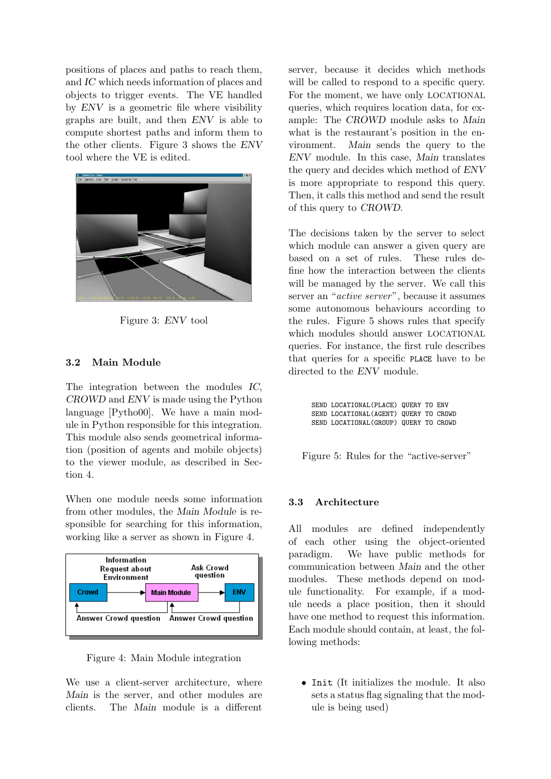positions of places and paths to reach them, and IC which needs information of places and objects to trigger events. The VE handled by ENV is a geometric file where visibility graphs are built, and then ENV is able to compute shortest paths and inform them to the other clients. Figure 3 shows the ENV tool where the VE is edited.



Figure 3: ENV tool

# 3.2 Main Module

The integration between the modules IC, CROWD and ENV is made using the Python language [Pytho00]. We have a main module in Python responsible for this integration. This module also sends geometrical information (position of agents and mobile objects) to the viewer module, as described in Section 4.

When one module needs some information from other modules, the Main Module is responsible for searching for this information, working like a server as shown in Figure 4.



Figure 4: Main Module integration

We use a client-server architecture, where Main is the server, and other modules are clients. The Main module is a different server, because it decides which methods will be called to respond to a specific query. For the moment, we have only LOCATIONAL queries, which requires location data, for example: The CROWD module asks to Main what is the restaurant's position in the environment. Main sends the query to the ENV module. In this case, Main translates the query and decides which method of ENV is more appropriate to respond this query. Then, it calls this method and send the result of this query to CROWD.

The decisions taken by the server to select which module can answer a given query are based on a set of rules. These rules define how the interaction between the clients will be managed by the server. We call this server an "active server", because it assumes some autonomous behaviours according to the rules. Figure 5 shows rules that specify which modules should answer LOCATIONAL queries. For instance, the first rule describes that queries for a specific PLACE have to be directed to the ENV module.

> SEND LOCATIONAL(PLACE) QUERY TO ENV SEND LOCATIONAL(AGENT) QUERY TO CROWD SEND LOCATIONAL(GROUP) QUERY TO CROWD

Figure 5: Rules for the "active-server"

# 3.3 Architecture

All modules are defined independently of each other using the object-oriented paradigm. We have public methods for communication between Main and the other modules. These methods depend on module functionality. For example, if a module needs a place position, then it should have one method to request this information. Each module should contain, at least, the following methods:

• Init (It initializes the module. It also sets a status flag signaling that the module is being used)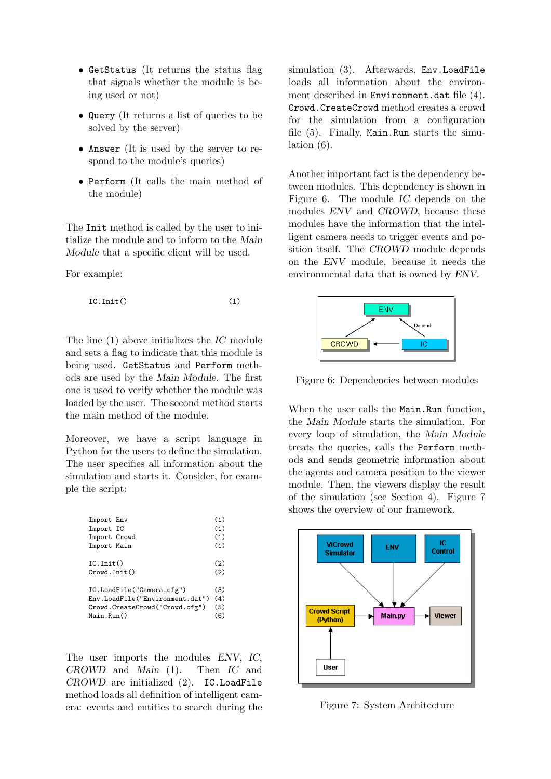- GetStatus (It returns the status flag that signals whether the module is being used or not)
- Query (It returns a list of queries to be solved by the server)
- Answer (It is used by the server to respond to the module's queries)
- Perform (It calls the main method of the module)

The Init method is called by the user to initialize the module and to inform to the Main Module that a specific client will be used.

For example:

$$
IC.Init() \t(1)
$$

The line (1) above initializes the IC module and sets a flag to indicate that this module is being used. GetStatus and Perform methods are used by the Main Module. The first one is used to verify whether the module was loaded by the user. The second method starts the main method of the module.

Moreover, we have a script language in Python for the users to define the simulation. The user specifies all information about the simulation and starts it. Consider, for example the script:

| Import Env                      | (1) |  |
|---------------------------------|-----|--|
| Import IC                       | (1) |  |
| Import Crowd                    | (1) |  |
| Import Main                     | (1) |  |
|                                 |     |  |
| IC.Init()                       |     |  |
| Crowd.Init()                    |     |  |
|                                 |     |  |
| IC.LoadFile("Camera.cfg")       |     |  |
| Env.LoadFile("Environment.dat") |     |  |
| Crowd.CreateCrowd("Crowd.cfg")  |     |  |
| Main.Run()                      |     |  |

The user imports the modules ENV, IC, CROWD and Main (1). Then IC and CROWD are initialized (2). IC.LoadFile method loads all definition of intelligent camera: events and entities to search during the simulation (3). Afterwards, Env.LoadFile loads all information about the environment described in Environment.dat file (4). Crowd.CreateCrowd method creates a crowd for the simulation from a configuration file (5). Finally, Main.Run starts the simulation (6).

Another important fact is the dependency between modules. This dependency is shown in Figure 6. The module IC depends on the modules ENV and CROWD, because these modules have the information that the intelligent camera needs to trigger events and position itself. The CROWD module depends on the ENV module, because it needs the environmental data that is owned by ENV.



Figure 6: Dependencies between modules

When the user calls the Main.Run function, the Main Module starts the simulation. For every loop of simulation, the Main Module treats the queries, calls the Perform methods and sends geometric information about the agents and camera position to the viewer module. Then, the viewers display the result of the simulation (see Section 4). Figure 7 shows the overview of our framework.



Figure 7: System Architecture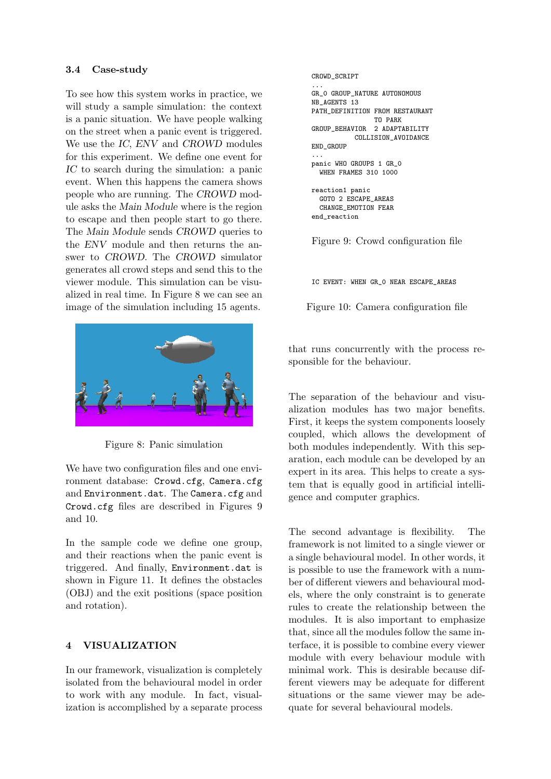#### 3.4 Case-study

To see how this system works in practice, we will study a sample simulation: the context is a panic situation. We have people walking on the street when a panic event is triggered. We use the IC, ENV and CROWD modules for this experiment. We define one event for IC to search during the simulation: a panic event. When this happens the camera shows people who are running. The CROWD module asks the Main Module where is the region to escape and then people start to go there. The Main Module sends CROWD queries to the ENV module and then returns the answer to CROWD. The CROWD simulator generates all crowd steps and send this to the viewer module. This simulation can be visualized in real time. In Figure 8 we can see an image of the simulation including 15 agents.



Figure 8: Panic simulation

We have two configuration files and one environment database: Crowd.cfg, Camera.cfg and Environment.dat. The Camera.cfg and Crowd.cfg files are described in Figures 9 and 10.

In the sample code we define one group, and their reactions when the panic event is triggered. And finally, Environment.dat is shown in Figure 11. It defines the obstacles (OBJ) and the exit positions (space position and rotation).

# 4 VISUALIZATION

In our framework, visualization is completely isolated from the behavioural model in order to work with any module. In fact, visualization is accomplished by a separate process

```
CROWD_SCRIPT
...
GR_0 GROUP_NATURE AUTONOMOUS
NB_AGENTS 13
PATH_DEFINITION FROM RESTAURANT
                TO PARK
GROUP_BEHAVIOR 2 ADAPTABILITY
           COLLISION_AVOIDANCE
END_GROUP
...
panic WHO GROUPS 1 GR_0
  WHEN FRAMES 310 1000
reaction1 panic
  GOTO 2 ESCAPE_AREAS
  CHANGE_EMOTION FEAR
end_reaction
```
Figure 9: Crowd configuration file

IC EVENT: WHEN GR\_0 NEAR ESCAPE\_AREAS

Figure 10: Camera configuration file

that runs concurrently with the process responsible for the behaviour.

The separation of the behaviour and visualization modules has two major benefits. First, it keeps the system components loosely coupled, which allows the development of both modules independently. With this separation, each module can be developed by an expert in its area. This helps to create a system that is equally good in artificial intelligence and computer graphics.

The second advantage is flexibility. The framework is not limited to a single viewer or a single behavioural model. In other words, it is possible to use the framework with a number of different viewers and behavioural models, where the only constraint is to generate rules to create the relationship between the modules. It is also important to emphasize that, since all the modules follow the same interface, it is possible to combine every viewer module with every behaviour module with minimal work. This is desirable because different viewers may be adequate for different situations or the same viewer may be adequate for several behavioural models.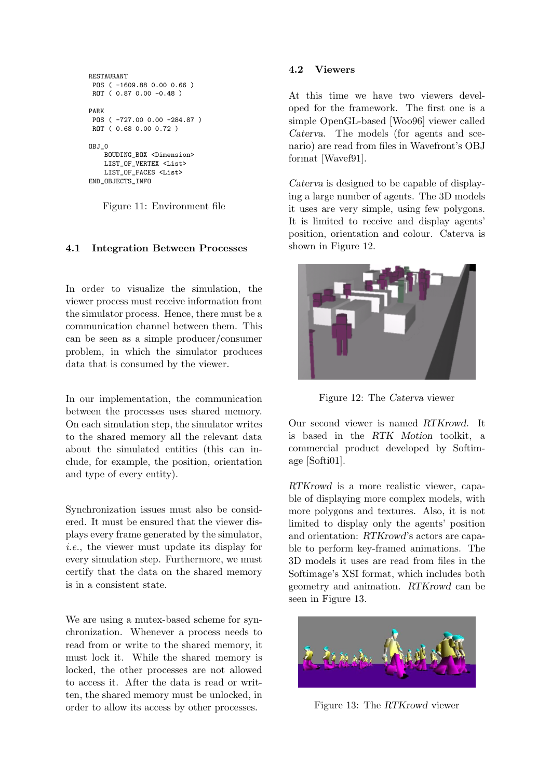```
RESTAURANT
POS ( -1609.88 0.00 0.66 )
ROT ( 0.87 0.00 -0.48 )
PARK
POS ( -727.00 0.00 -284.87 )
ROT ( 0.68 0.00 0.72 )
OBJ_0
    BOUDING_BOX <Dimension>
    LIST_OF_VERTEX <List>
    LIST_OF_FACES <List>
END_OBJECTS_INFO
```
Figure 11: Environment file

# 4.1 Integration Between Processes

In order to visualize the simulation, the viewer process must receive information from the simulator process. Hence, there must be a communication channel between them. This can be seen as a simple producer/consumer problem, in which the simulator produces data that is consumed by the viewer.

In our implementation, the communication between the processes uses shared memory. On each simulation step, the simulator writes to the shared memory all the relevant data about the simulated entities (this can include, for example, the position, orientation and type of every entity).

Synchronization issues must also be considered. It must be ensured that the viewer displays every frame generated by the simulator, i.e., the viewer must update its display for every simulation step. Furthermore, we must certify that the data on the shared memory is in a consistent state.

We are using a mutex-based scheme for synchronization. Whenever a process needs to read from or write to the shared memory, it must lock it. While the shared memory is locked, the other processes are not allowed to access it. After the data is read or written, the shared memory must be unlocked, in order to allow its access by other processes.

#### 4.2 Viewers

At this time we have two viewers developed for the framework. The first one is a simple OpenGL-based [Woo96] viewer called Caterva. The models (for agents and scenario) are read from files in Wavefront's OBJ format [Wavef91].

Caterva is designed to be capable of displaying a large number of agents. The 3D models it uses are very simple, using few polygons. It is limited to receive and display agents' position, orientation and colour. Caterva is shown in Figure 12.



Figure 12: The Caterva viewer

Our second viewer is named RTKrowd. It is based in the RTK Motion toolkit, a commercial product developed by Softimage [Softi01].

RTKrowd is a more realistic viewer, capable of displaying more complex models, with more polygons and textures. Also, it is not limited to display only the agents' position and orientation: RTKrowd's actors are capable to perform key-framed animations. The 3D models it uses are read from files in the Softimage's XSI format, which includes both geometry and animation. RTKrowd can be seen in Figure 13.



Figure 13: The RTKrowd viewer